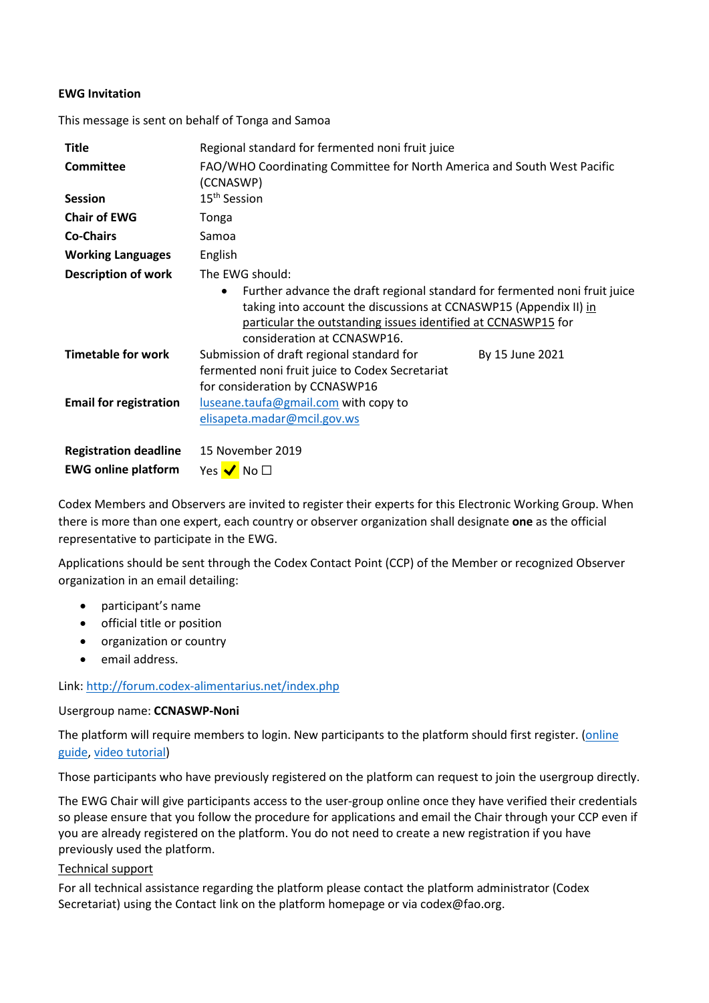## **EWG Invitation**

This message is sent on behalf of Tonga and Samoa

| Title                         | Regional standard for fermented noni fruit juice                                                                                                                                                                                                                                |
|-------------------------------|---------------------------------------------------------------------------------------------------------------------------------------------------------------------------------------------------------------------------------------------------------------------------------|
| <b>Committee</b>              | FAO/WHO Coordinating Committee for North America and South West Pacific<br>(CCNASWP)                                                                                                                                                                                            |
| <b>Session</b>                | 15 <sup>th</sup> Session                                                                                                                                                                                                                                                        |
| <b>Chair of EWG</b>           | Tonga                                                                                                                                                                                                                                                                           |
| <b>Co-Chairs</b>              | Samoa                                                                                                                                                                                                                                                                           |
| <b>Working Languages</b>      | English                                                                                                                                                                                                                                                                         |
| <b>Description of work</b>    | The EWG should:<br>Further advance the draft regional standard for fermented noni fruit juice<br>$\bullet$<br>taking into account the discussions at CCNASWP15 (Appendix II) in<br>particular the outstanding issues identified at CCNASWP15 for<br>consideration at CCNASWP16. |
| <b>Timetable for work</b>     | Submission of draft regional standard for<br>By 15 June 2021<br>fermented noni fruit juice to Codex Secretariat<br>for consideration by CCNASWP16                                                                                                                               |
| <b>Email for registration</b> | luseane.taufa@gmail.com with copy to<br>elisapeta.madar@mcil.gov.ws                                                                                                                                                                                                             |
| <b>Registration deadline</b>  | 15 November 2019                                                                                                                                                                                                                                                                |
| <b>EWG online platform</b>    | Yes $\blacktriangledown$ No $\square$                                                                                                                                                                                                                                           |

Codex Members and Observers are invited to register their experts for this Electronic Working Group. When there is more than one expert, each country or observer organization shall designate **one** as the official representative to participate in the EWG.

Applications should be sent through the Codex Contact Point (CCP) of the Member or recognized Observer organization in an email detailing:

- participant's name
- official title or position
- organization or country
- email address.

### Link[: http://forum.codex-alimentarius.net/index.php](http://forum.codex-alimentarius.net/index.php)

### Usergroup name: **CCNASWP-Noni**

The platform will require members to login. New participants to the platform should first register. (online [guide,](http://forum.codex-alimentarius.net/viewtopic.php?f=13&t=11) [video tutorial\)](https://youtu.be/EJn9k7wNSwk)

Those participants who have previously registered on the platform can request to join the usergroup directly.

The EWG Chair will give participants access to the user-group online once they have verified their credentials so please ensure that you follow the procedure for applications and email the Chair through your CCP even if you are already registered on the platform. You do not need to create a new registration if you have previously used the platform.

### Technical support

For all technical assistance regarding the platform please contact the platform administrator (Codex Secretariat) using the [Contact link](http://forum.codex-alimentarius.net/) on the platform homepage or via codex@fao.org.